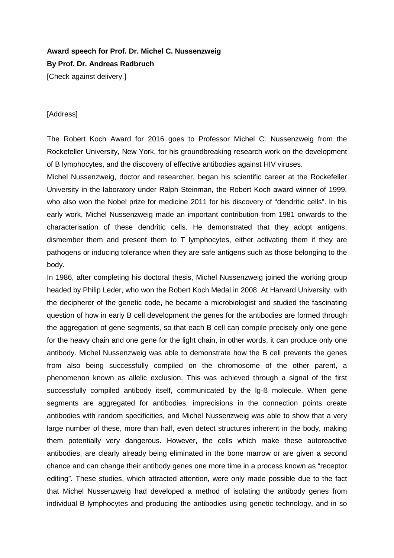## **Award speech for Prof. Dr. Michel C. Nussenzweig By Prof. Dr. Andreas Radbruch** [Check against delivery.]

## [Address]

The Robert Koch Award for 2016 goes to Professor Michel C. Nussenzweig from the Rockefeller University, New York, for his groundbreaking research work on the development of B lymphocytes, and the discovery of effective antibodies against HIV viruses.

Michel Nussenzweig, doctor and researcher, began his scientific career at the Rockefeller University in the laboratory under Ralph Steinman, the Robert Koch award winner of 1999, who also won the Nobel prize for medicine 2011 for his discovery of "dendritic cells". In his early work, Michel Nussenzweig made an important contribution from 1981 onwards to the characterisation of these dendritic cells. He demonstrated that they adopt antigens, dismember them and present them to T lymphocytes, either activating them if they are pathogens or inducing tolerance when they are safe antigens such as those belonging to the body.

In 1986, after completing his doctoral thesis, Michel Nussenzweig joined the working group headed by Philip Leder, who won the Robert Koch Medal in 2008. At Harvard University, with the decipherer of the genetic code, he became a microbiologist and studied the fascinating question of how in early B cell development the genes for the antibodies are formed through the aggregation of gene segments, so that each B cell can compile precisely only one gene for the heavy chain and one gene for the light chain, in other words, it can produce only one antibody. Michel Nussenzweig was able to demonstrate how the B cell prevents the genes from also being successfully compiled on the chromosome of the other parent, a phenomenon known as allelic exclusion. This was achieved through a signal of the first successfully compiled antibody itself, communicated by the lg-ß molecule. When gene segments are aggregated for antibodies, imprecisions in the connection points create antibodies with random specificities, and Michel Nussenzweig was able to show that a very large number of these, more than half, even detect structures inherent in the body, making them potentially very dangerous. However, the cells which make these autoreactive antibodies, are clearly already being eliminated in the bone marrow or are given a second chance and can change their antibody genes one more time in a process known as "receptor editing". These studies, which attracted attention, were only made possible due to the fact that Michel Nussenzweig had developed a method of isolating the antibody genes from individual B lymphocytes and producing the antibodies using genetic technology, and in so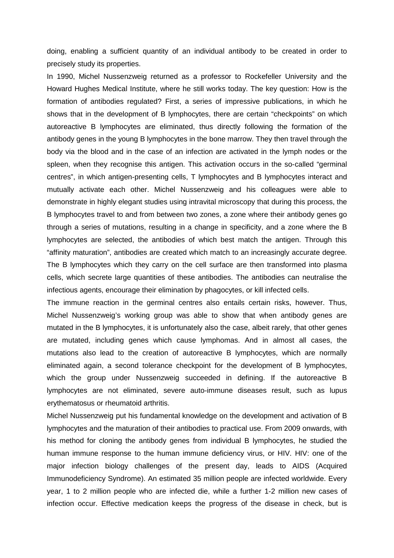doing, enabling a sufficient quantity of an individual antibody to be created in order to precisely study its properties.

In 1990, Michel Nussenzweig returned as a professor to Rockefeller University and the Howard Hughes Medical Institute, where he still works today. The key question: How is the formation of antibodies regulated? First, a series of impressive publications, in which he shows that in the development of B lymphocytes, there are certain "checkpoints" on which autoreactive B lymphocytes are eliminated, thus directly following the formation of the antibody genes in the young B lymphocytes in the bone marrow. They then travel through the body via the blood and in the case of an infection are activated in the lymph nodes or the spleen, when they recognise this antigen. This activation occurs in the so-called "germinal centres", in which antigen-presenting cells, T lymphocytes and B lymphocytes interact and mutually activate each other. Michel Nussenzweig and his colleagues were able to demonstrate in highly elegant studies using intravital microscopy that during this process, the B lymphocytes travel to and from between two zones, a zone where their antibody genes go through a series of mutations, resulting in a change in specificity, and a zone where the B lymphocytes are selected, the antibodies of which best match the antigen. Through this "affinity maturation", antibodies are created which match to an increasingly accurate degree. The B lymphocytes which they carry on the cell surface are then transformed into plasma cells, which secrete large quantities of these antibodies. The antibodies can neutralise the infectious agents, encourage their elimination by phagocytes, or kill infected cells.

The immune reaction in the germinal centres also entails certain risks, however. Thus, Michel Nussenzweig's working group was able to show that when antibody genes are mutated in the B lymphocytes, it is unfortunately also the case, albeit rarely, that other genes are mutated, including genes which cause lymphomas. And in almost all cases, the mutations also lead to the creation of autoreactive B lymphocytes, which are normally eliminated again, a second tolerance checkpoint for the development of B lymphocytes, which the group under Nussenzweig succeeded in defining. If the autoreactive B lymphocytes are not eliminated, severe auto-immune diseases result, such as lupus erythematosus or rheumatoid arthritis.

Michel Nussenzweig put his fundamental knowledge on the development and activation of B lymphocytes and the maturation of their antibodies to practical use. From 2009 onwards, with his method for cloning the antibody genes from individual B lymphocytes, he studied the human immune response to the human immune deficiency virus, or HIV. HIV: one of the major infection biology challenges of the present day, leads to AIDS (Acquired Immunodeficiency Syndrome). An estimated 35 million people are infected worldwide. Every year, 1 to 2 million people who are infected die, while a further 1-2 million new cases of infection occur. Effective medication keeps the progress of the disease in check, but is